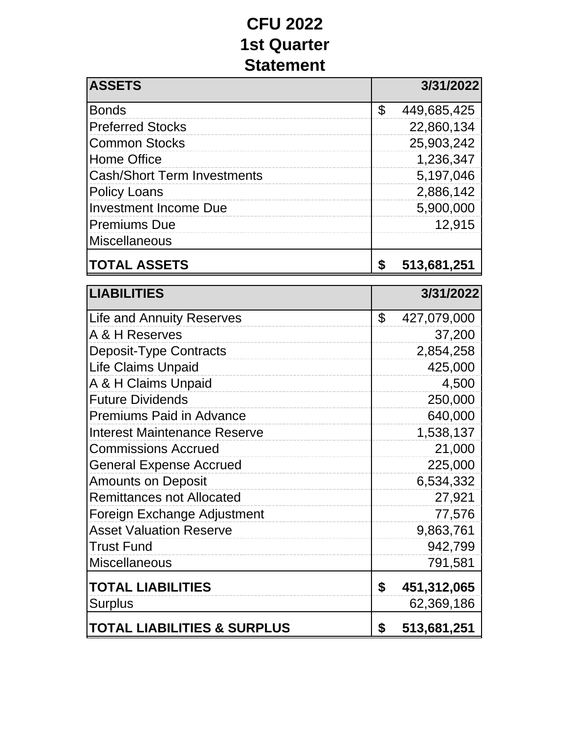## **CFU 2022 1st Quarter Statement**

| <b>ASSETS</b>                      | 3/31/2022         |
|------------------------------------|-------------------|
| <b>Bonds</b>                       | \$<br>449,685,425 |
| <b>Preferred Stocks</b>            | 22,860,134        |
| <b>Common Stocks</b>               | 25,903,242        |
| <b>Home Office</b>                 | 1,236,347         |
| <b>Cash/Short Term Investments</b> | 5,197,046         |
| <b>Policy Loans</b>                | 2,886,142         |
| <b>Investment Income Due</b>       | 5,900,000         |
| <b>Premiums Due</b>                | 12,915            |
| Miscellaneous                      |                   |
| <b>TOTAL ASSETS</b>                | \$<br>513,681,251 |

| <b>LIABILITIES</b>                     |                | 3/31/2022   |
|----------------------------------------|----------------|-------------|
| <b>Life and Annuity Reserves</b>       | $\mathfrak{L}$ | 427,079,000 |
| A & H Reserves                         |                | 37,200      |
| <b>Deposit-Type Contracts</b>          |                | 2,854,258   |
| <b>Life Claims Unpaid</b>              |                | 425,000     |
| A & H Claims Unpaid                    |                | 4,500       |
| <b>Future Dividends</b>                |                | 250,000     |
| <b>Premiums Paid in Advance</b>        |                | 640,000     |
| Interest Maintenance Reserve           |                | 1,538,137   |
| <b>Commissions Accrued</b>             |                | 21,000      |
| <b>General Expense Accrued</b>         |                | 225,000     |
| <b>Amounts on Deposit</b>              |                | 6,534,332   |
| <b>Remittances not Allocated</b>       |                | 27,921      |
| Foreign Exchange Adjustment            |                | 77,576      |
| <b>Asset Valuation Reserve</b>         |                | 9,863,761   |
| <b>Trust Fund</b>                      |                | 942,799     |
| <b>Miscellaneous</b>                   |                | 791,581     |
| <b>TOTAL LIABILITIES</b>               | \$             | 451,312,065 |
| <b>Surplus</b>                         |                | 62,369,186  |
| <b>TOTAL LIABILITIES &amp; SURPLUS</b> | \$             | 513,681,251 |